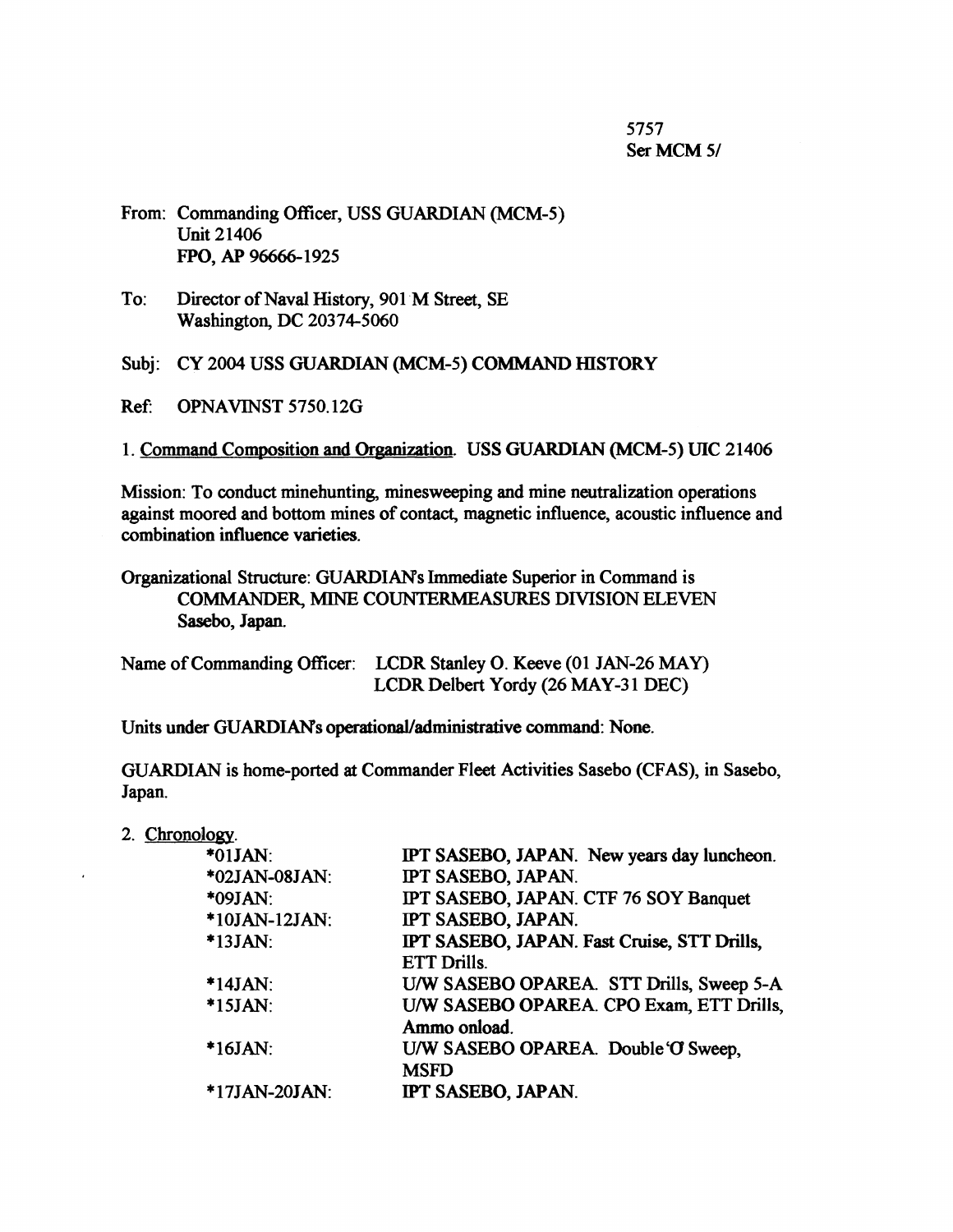5757 Ser MCM 5/

- From: Commanding Officer, USS GUARDIAN (MCM-5) Unit 21406 FPO, AP 96666-1925
- To: Director of Naval History, 901 M Street, SE Washington, DC 20374-5060

Subj: CY 2004 USS GUARDIAN (MCM-5) COMMAND HISTORY

Ref: OPNAVINST 5750.12G

1. Command Composition and Organization. USS GUARDIAN (MCM-5) UIC 21406

Mission: To conduct minehunting, minesweeping and mine neutralization operations against moored and bottom mines of contact, magnetic influence, acoustic influence and combination influence varieties.

Organizational Structure: GUARDIANs Immediate Superior in Command is COMMANDER, MINE COUNTERMEASURES DIVISION ELEVEN Sasebo, Japan.

| Name of Commanding Officer: LCDR Stanley O. Keeve (01 JAN-26 MAY) |
|-------------------------------------------------------------------|
| LCDR Delbert Yordy (26 MAY-31 DEC)                                |

Units under GUARDIANs operational/administrative command: None.

GUARDIAN is home-ported at Commander Fleet Activities Sasebo (CF AS), in Sasebo, Japan.

2. Chronology.

| $*01$ JAN:    | IPT SASEBO, JAPAN. New years day luncheon.  |
|---------------|---------------------------------------------|
| *02JAN-08JAN: | IPT SASEBO, JAPAN.                          |
| *09JAN:       | IPT SASEBO, JAPAN. CTF 76 SOY Banquet       |
| *10JAN-12JAN: | IPT SASEBO, JAPAN.                          |
| $*13JAN$ :    | IPT SASEBO, JAPAN. Fast Cruise, STT Drills, |
|               | <b>ETT Drills.</b>                          |
| $*14JAN$ :    | U/W SASEBO OPAREA. STT Drills, Sweep 5-A    |
| $*15JAN$ :    | U/W SASEBO OPAREA. CPO Exam, ETT Drills,    |
|               | Ammo onload.                                |
| $*16JAN:$     | U/W SASEBO OPAREA. Double 'O' Sweep,        |
|               | <b>MSFD</b>                                 |
| *17JAN-20JAN: | IPT SASEBO, JAPAN.                          |
|               |                                             |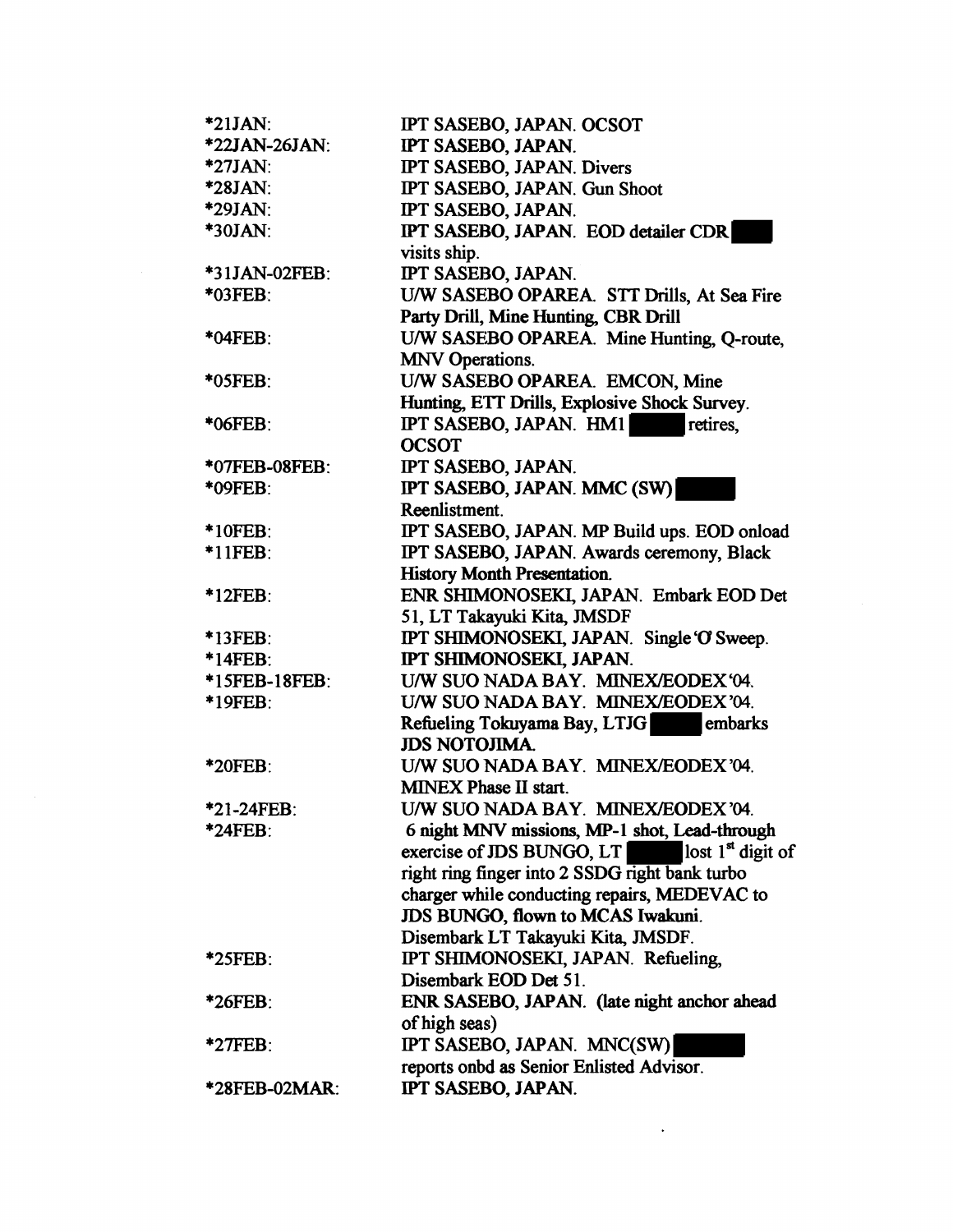| *21JAN:              | IPT SASEBO, JAPAN. OCSOT                                   |
|----------------------|------------------------------------------------------------|
| *22JAN-26JAN:        | IPT SASEBO, JAPAN.                                         |
| $*27JAN$ :           | IPT SASEBO, JAPAN. Divers                                  |
| $*28JAN:$            | IPT SASEBO, JAPAN. Gun Shoot                               |
| *29JAN:              | IPT SASEBO, JAPAN.                                         |
| <b>*30JAN:</b>       | IPT SASEBO, JAPAN. EOD detailer CDR                        |
|                      | visits ship.                                               |
| *31JAN-02FEB:        | IPT SASEBO, JAPAN.                                         |
| *03FEB:              | U/W SASEBO OPAREA. STT Drills, At Sea Fire                 |
|                      | Party Drill, Mine Hunting, CBR Drill                       |
| *04FEB:              | U/W SASEBO OPAREA. Mine Hunting, Q-route,                  |
|                      | <b>MNV Operations.</b>                                     |
| *05FEB:              | U/W SASEBO OPAREA. EMCON, Mine                             |
|                      | Hunting, ETT Drills, Explosive Shock Survey.               |
| *06FEB:              | IPT SASEBO, JAPAN. HM1<br>retires.                         |
|                      | <b>OCSOT</b>                                               |
| *07FEB-08FEB:        | IPT SASEBO, JAPAN.                                         |
| *09FEB:              | IPT SASEBO, JAPAN. MMC (SW)                                |
|                      | Reenlistment.                                              |
| <b>*10FEB:</b>       | IPT SASEBO, JAPAN. MP Build ups. EOD onload                |
| $*11FEB:$            | IPT SASEBO, JAPAN. Awards ceremony, Black                  |
|                      | <b>History Month Presentation.</b>                         |
| $*12FEB$ :           | ENR SHIMONOSEKI, JAPAN. Embark EOD Det                     |
|                      | 51, LT Takayuki Kita, JMSDF                                |
| *13FEB:              | IPT SHIMONOSEKI, JAPAN. Single 'O' Sweep.                  |
| *14FEB:              | IPT SHIMONOSEKI, JAPAN.                                    |
| *15FEB-18FEB:        | U/W SUO NADA BAY. MINEX/EODEX '04.                         |
| *19FEB:              | U/W SUO NADA BAY. MINEX/EODEX'04.                          |
|                      | Refueling Tokuyama Bay, LTJG<br>embarks                    |
|                      | <b>JDS NOTOJIMA.</b>                                       |
| <b>*20FEB:</b>       | U/W SUO NADA BAY. MINEX/EODEX'04.                          |
|                      | <b>MINEX Phase II start.</b>                               |
| $*21-24$ FEB $\cdot$ | U/W SUO NADA BAY. MINEX/EODEX'04.                          |
| *24FEB:              | 6 night MNV missions, MP-1 shot, Lead-through              |
|                      | exercise of JDS BUNGO, LT<br>lost $1^{\text{st}}$ digit of |
|                      | right ring finger into 2 SSDG right bank turbo             |
|                      | charger while conducting repairs, MEDEVAC to               |
|                      | JDS BUNGO, flown to MCAS Iwakuni.                          |
|                      | Disembark LT Takayuki Kita, JMSDF.                         |
| *25FEB.              | IPT SHIMONOSEKI, JAPAN. Refueling,                         |
|                      | Disembark EOD Det 51.                                      |
| *26FEB:              | ENR SASEBO, JAPAN. (late night anchor ahead                |
|                      | of high seas)                                              |
| *27FEB:              | IPT SASEBO, JAPAN. MNC(SW)                                 |
|                      | reports onbd as Senior Enlisted Advisor.                   |
| *28FEB-02MAR:        | IPT SASEBO, JAPAN.                                         |

 $\label{eq:2.1} \frac{1}{\sqrt{2}}\int_{\mathbb{R}^3}\frac{1}{\sqrt{2}}\left(\frac{1}{\sqrt{2}}\right)^2\left(\frac{1}{\sqrt{2}}\right)^2\left(\frac{1}{\sqrt{2}}\right)^2\left(\frac{1}{\sqrt{2}}\right)^2\left(\frac{1}{\sqrt{2}}\right)^2.$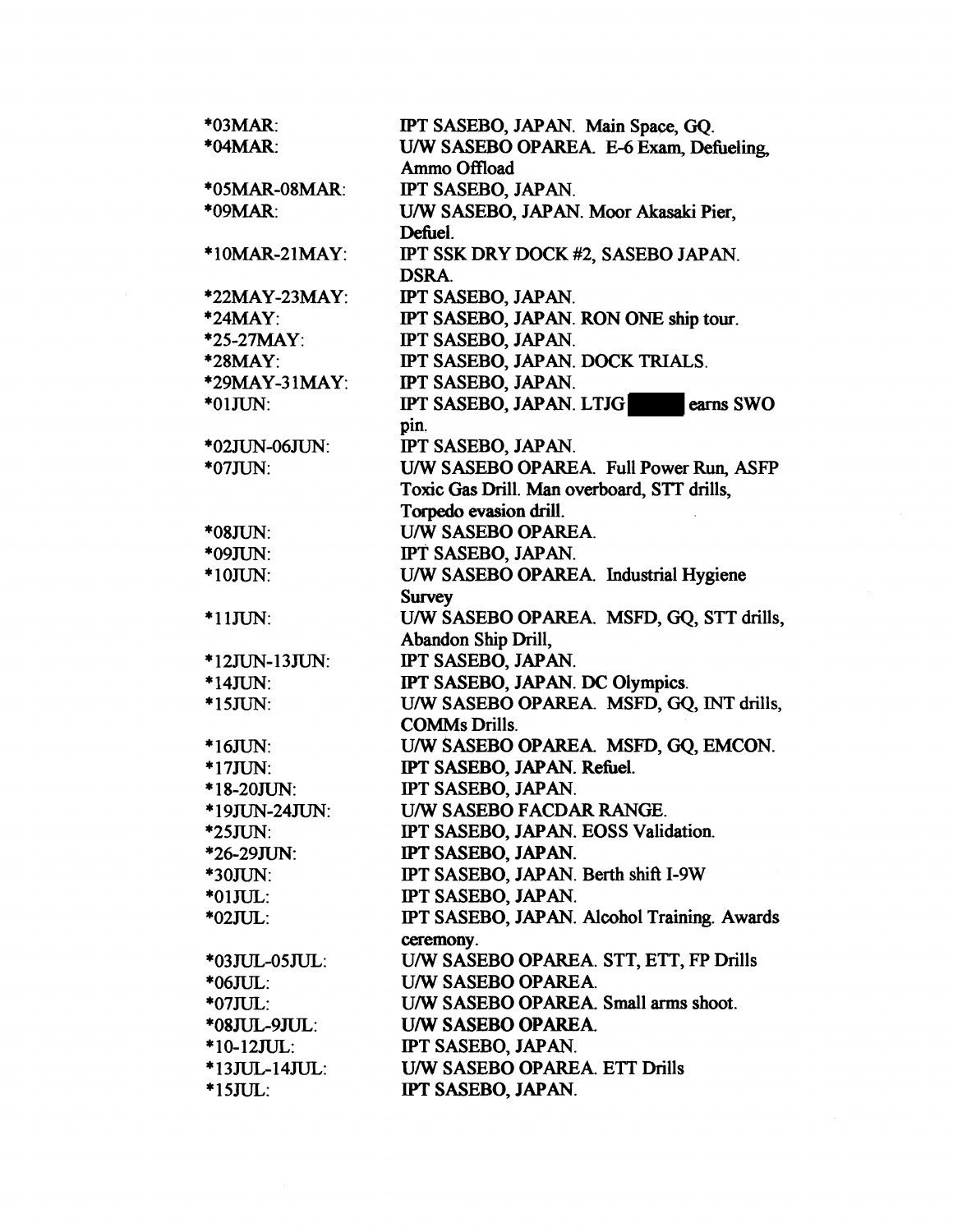| *03MAR:          | IPT SASEBO, JAPAN. Main Space, GQ.          |
|------------------|---------------------------------------------|
| *04MAR:          | U/W SASEBO OPAREA. E-6 Exam, Defueling      |
|                  | Ammo Offload                                |
| *05MAR-08MAR:    | IPT SASEBO, JAPAN.                          |
| *09MAR:          | U/W SASEBO, JAPAN. Moor Akasaki Pier.       |
|                  | Defuel.                                     |
| *10MAR-21MAY:    | IPT SSK DRY DOCK #2, SASEBO JAPAN.          |
|                  | <b>DSRA.</b>                                |
| *22MAY-23MAY:    | IPT SASEBO, JAPAN.                          |
| $*24$ MAY:       | IPT SASEBO, JAPAN. RON ONE ship tour.       |
| *25-27MAY:       | IPT SASEBO, JAPAN.                          |
| *28MAY:          | IPT SASEBO, JAPAN. DOCK TRIALS.             |
| *29MAY-31MAY:    | IPT SASEBO, JAPAN.                          |
| $*01JUN:$        | IPT SASEBO, JAPAN. LTJG<br>earns SWO        |
|                  | pin.                                        |
| *02JUN-06JUN:    | IPT SASEBO, JAPAN.                          |
| $*07JUN:$        | U/W SASEBO OPAREA. Full Power Run, ASFP     |
|                  | Toxic Gas Drill. Man overboard, STT drills, |
|                  | Torpedo evasion drill.                      |
| *08JUN:          | U/W SASEBO OPAREA.                          |
| *09JUN:          | IPT SASEBO, JAPAN.                          |
| $*10JUN:$        | U/W SASEBO OPAREA. Industrial Hygiene       |
|                  | <b>Survey</b>                               |
| $*11JUN:$        | U/W SASEBO OPAREA. MSFD, GQ, STT drills,    |
|                  | Abandon Ship Drill,                         |
| $*12$ JUN-13JUN: | IPT SASEBO, JAPAN.                          |
| *14JUN:          | IPT SASEBO, JAPAN. DC Olympics.             |
| $*15JUN:$        | U/W SASEBO OPAREA. MSFD, GQ, INT drills,    |
|                  | <b>COMMs Drills.</b>                        |
| $*16JUN:$        | U/W SASEBO OPAREA. MSFD, GQ, EMCON.         |
| $*17JUN:$        | IPT SASEBO, JAPAN. Refuel.                  |
| *18-20JUN:       | IPT SASEBO, JAPAN.                          |
| *19JUN-24JUN:    | U/W SASEBO FACDAR RANGE                     |
| $*25JUN:$        | IPT SASEBO, JAPAN. EOSS Validation.         |
| *26-29JUN:       | IPT SASEBO, JAPAN.                          |
| *30JUN:          | IPT SASEBO, JAPAN. Berth shift I-9W         |
| $*01JUL$ :       | IPT SASEBO, JAPAN.                          |
| *02JUL:          | IPT SASEBO, JAPAN. Alcohol Training. Awards |
|                  | ceremony.                                   |
| *03JUL-05JUL:    | U/W SASEBO OPAREA. STT, ETT, FP Drills      |
| $*06JUL$ :       | U/W SASEBO OPAREA.                          |
| *07JUL:          | U/W SASEBO OPAREA. Small arms shoot.        |
| *08JUL-9JUL:     | U/W SASEBO OPAREA.                          |
| $*10-12JUL:$     | IPT SASEBO, JAPAN.                          |
| *13JUL-14JUL:    | U/W SASEBO OPAREA. ETT Drills               |
| $*15JUL:$        | IPT SASEBO, JAPAN.                          |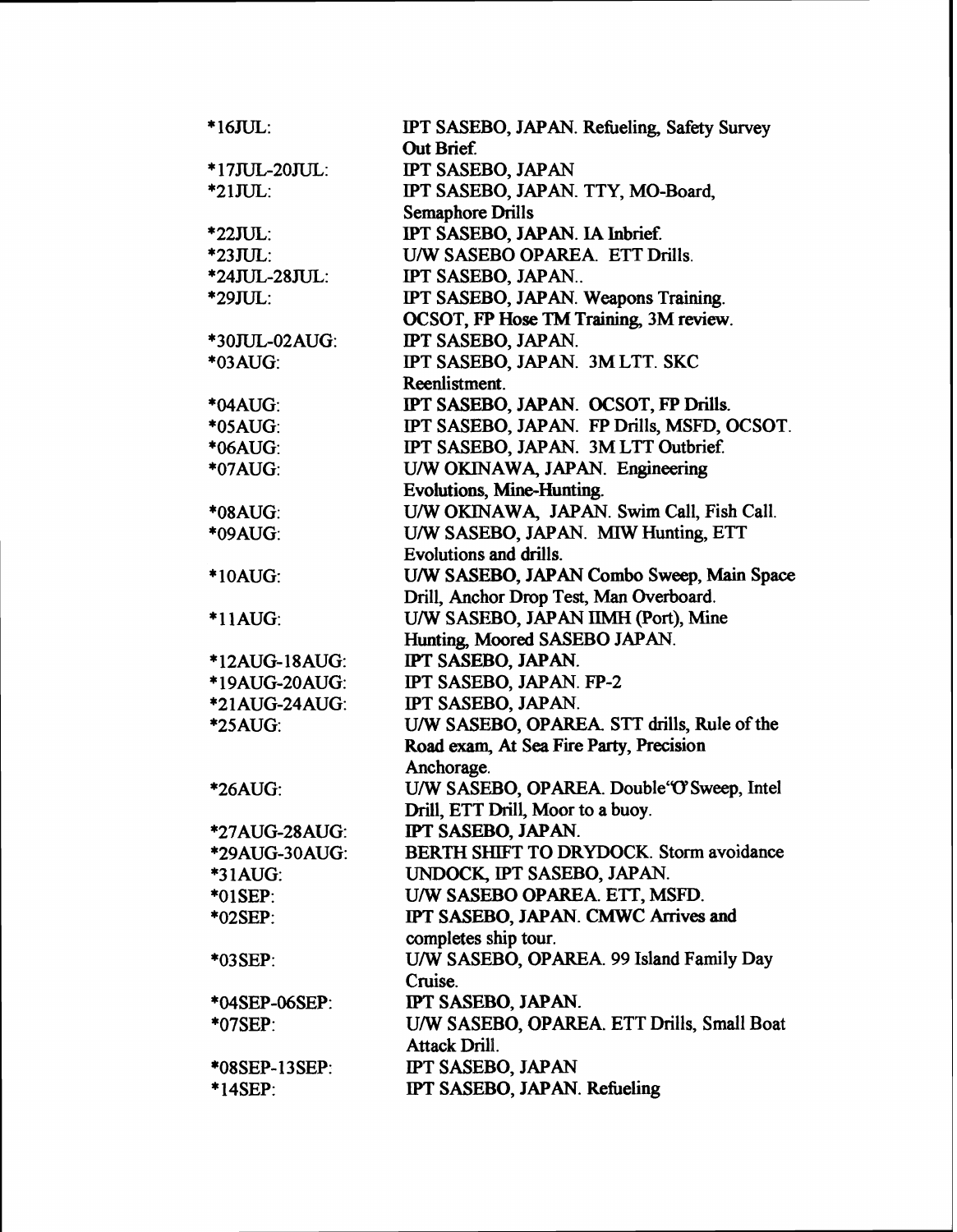| $*16JUL$ :           | IPT SASEBO, JAPAN. Refueling, Safety Survey |  |
|----------------------|---------------------------------------------|--|
|                      | Out Brief.                                  |  |
| *17JUL-20JUL:        | <b>IPT SASEBO, JAPAN</b>                    |  |
| $*21JUL$ :           | IPT SASEBO, JAPAN. TTY, MO-Board,           |  |
|                      | <b>Semaphore Drills</b>                     |  |
| *22JUL:              | IPT SASEBO, JAPAN. IA Inbrief.              |  |
| $*23JUL$ :           | U/W SASEBO OPAREA. ETT Drills.              |  |
| *24JUL-28JUL:        | IPT SASEBO, JAPAN                           |  |
| *29JUL:              | IPT SASEBO, JAPAN. Weapons Training.        |  |
|                      | OCSOT, FP Hose TM Training, 3M review.      |  |
| *30JUL-02AUG:        | IPT SASEBO, JAPAN.                          |  |
| *03AUG:              | IPT SASEBO, JAPAN. 3M LTT. SKC              |  |
|                      | Reenlistment.                               |  |
| *04AUG:              | IPT SASEBO, JAPAN. OCSOT, FP Drills.        |  |
| *05AUG:              | IPT SASEBO, JAPAN. FP Drills, MSFD, OCSOT.  |  |
| *06AUG:              | IPT SASEBO, JAPAN. 3M LTT Outbrief.         |  |
| *07AUG:              | U/W OKINAWA, JAPAN. Engineering             |  |
|                      | Evolutions, Mine-Hunting.                   |  |
| *08AUG:              | U/W OKINAWA, JAPAN. Swim Call, Fish Call.   |  |
| *09AUG:              | U/W SASEBO, JAPAN. MIW Hunting, ETT         |  |
|                      | Evolutions and drills.                      |  |
| *10AUG:              | U/W SASEBO, JAPAN Combo Sweep, Main Space   |  |
|                      | Drill, Anchor Drop Test, Man Overboard.     |  |
| *11AUG:              | U/W SASEBO, JAPAN IIMH (Port), Mine         |  |
|                      | Hunting, Moored SASEBO JAPAN.               |  |
| *12AUG-18AUG:        | IPT SASEBO, JAPAN.                          |  |
| *19AUG-20AUG:        | IPT SASEBO, JAPAN. FP-2                     |  |
| <b>*21AUG-24AUG:</b> | IPT SASEBO, JAPAN.                          |  |
| <b>*25AUG:</b>       | U/W SASEBO, OPAREA. STT drills, Rule of the |  |
|                      | Road exam, At Sea Fire Party, Precision     |  |
|                      | Anchorage.                                  |  |
| *26AUG:              | U/W SASEBO, OPAREA. Double'O'Sweep, Intel   |  |
|                      | Drill, ETT Drill, Moor to a buoy.           |  |
| *27AUG-28AUG:        | IPT SASEBO, JAPAN.                          |  |
| *29AUG-30AUG:        | BERTH SHIFT TO DRYDOCK. Storm avoidance     |  |
| <b>*31AUG:</b>       | UNDOCK, IPT SASEBO, JAPAN.                  |  |
| *01SEP:              | U/W SASEBO OPAREA. ETT, MSFD.               |  |
| *02SEP:              | IPT SASEBO, JAPAN. CMWC Arrives and         |  |
|                      | completes ship tour.                        |  |
| *03SEP:              | U/W SASEBO, OPAREA. 99 Island Family Day    |  |
|                      | Cruise.                                     |  |
| *04SEP-06SEP:        | IPT SASEBO, JAPAN.                          |  |
| *07SEP:              | U/W SASEBO, OPAREA. ETT Drills, Small Boat  |  |
|                      | Attack Drill.                               |  |
| <b>*08SEP-13SEP:</b> | <b>IPT SASEBO, JAPAN</b>                    |  |
|                      | IPT SASEBO, JAPAN. Refueling                |  |
| $*14$ SEP:           |                                             |  |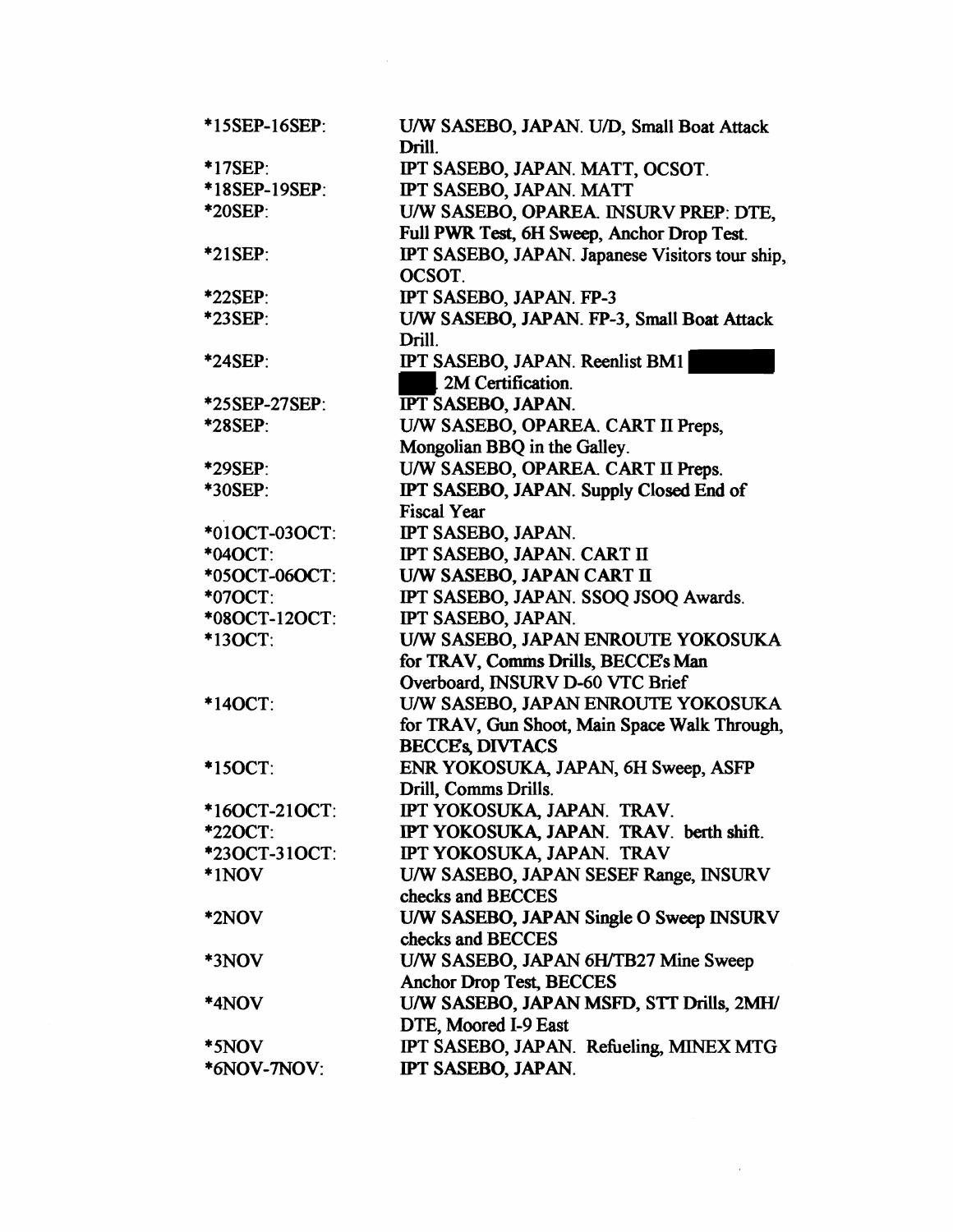| *15SEP-16SEP: | U/W SASEBO, JAPAN. U/D, Small Boat Attack<br>Drill. |
|---------------|-----------------------------------------------------|
| *17SEP:       | IPT SASEBO, JAPAN. MATT, OCSOT.                     |
| *18SEP-19SEP: | IPT SASEBO, JAPAN. MATT                             |
| *20SEP:       | U/W SASEBO, OPAREA. INSURV PREP: DTE,               |
|               | Full PWR Test, 6H Sweep, Anchor Drop Test.          |
| *21SEP:       | IPT SASEBO, JAPAN. Japanese Visitors tour ship,     |
|               | OCSOT.                                              |
| *22SEP:       | IPT SASEBO, JAPAN. FP-3                             |
| *23SEP:       | U/W SASEBO, JAPAN. FP-3, Small Boat Attack          |
|               | Drill.                                              |
| *24SEP:       | IPT SASEBO, JAPAN. Reenlist BM1                     |
|               | 2M Certification.                                   |
| *25SEP-27SEP: | <b>IPT SASEBO, JAPAN.</b>                           |
| *28SEP:       | U/W SASEBO, OPAREA. CART II Preps,                  |
|               | Mongolian BBQ in the Galley.                        |
| *29SEP:       | U/W SASEBO, OPAREA. CART II Preps.                  |
| *30SEP:       | IPT SASEBO, JAPAN. Supply Closed End of             |
|               | <b>Fiscal Year</b>                                  |
| *01OCT-03OCT: | IPT SASEBO, JAPAN.                                  |
| *04OCT:       | IPT SASEBO, JAPAN. CART II                          |
| *05OCT-06OCT: | U/W SASEBO, JAPAN CART II                           |
| *07OCT:       | IPT SASEBO, JAPAN. SSOQ JSOQ Awards.                |
| *080CT-120CT: | IPT SASEBO, JAPAN.                                  |
| *13OCT:       | U/W SASEBO, JAPAN ENROUTE YOKOSUKA                  |
|               | for TRAV, Comms Drills, BECCE's Man                 |
|               | Overboard, INSURV D-60 VTC Brief                    |
| *14OCT:       | U/W SASEBO, JAPAN ENROUTE YOKOSUKA                  |
|               | for TRAV, Gun Shoot, Main Space Walk Through,       |
|               | <b>BECCE'S DIVTACS</b>                              |
| *15OCT:       | ENR YOKOSUKA, JAPAN, 6H Sweep, ASFP                 |
|               | Drill, Comms Drills.                                |
| *160CT-210CT: | IPT YOKOSUKA, JAPAN. TRAV.                          |
| *220CT:       | IPT YOKOSUKA, JAPAN. TRAV. berth shift.             |
| *23OCT-31OCT: | IPT YOKOSUKA, JAPAN. TRAV                           |
| *1NOV         | U/W SASEBO, JAPAN SESEF Range, INSURV               |
|               | checks and BECCES                                   |
| *2NOV         | U/W SASEBO, JAPAN Single O Sweep INSURV             |
|               | checks and BECCES                                   |
| *3NOV         | U/W SASEBO, JAPAN 6H/TB27 Mine Sweep                |
|               | Anchor Drop Test, BECCES                            |
| *4NOV         | U/W SASEBO, JAPAN MSFD, STT Drills, 2MH/            |
|               | DTE, Moored I-9 East                                |
| *5NOV         | IPT SASEBO, JAPAN. Refueling, MINEX MTG             |
| *6NOV-7NOV:   | IPT SASEBO, JAPAN.                                  |

 $\label{eq:2} \mathcal{L}_{\text{max}} = \mathcal{L}_{\text{max}} \left( \mathcal{L}_{\text{max}} \right)$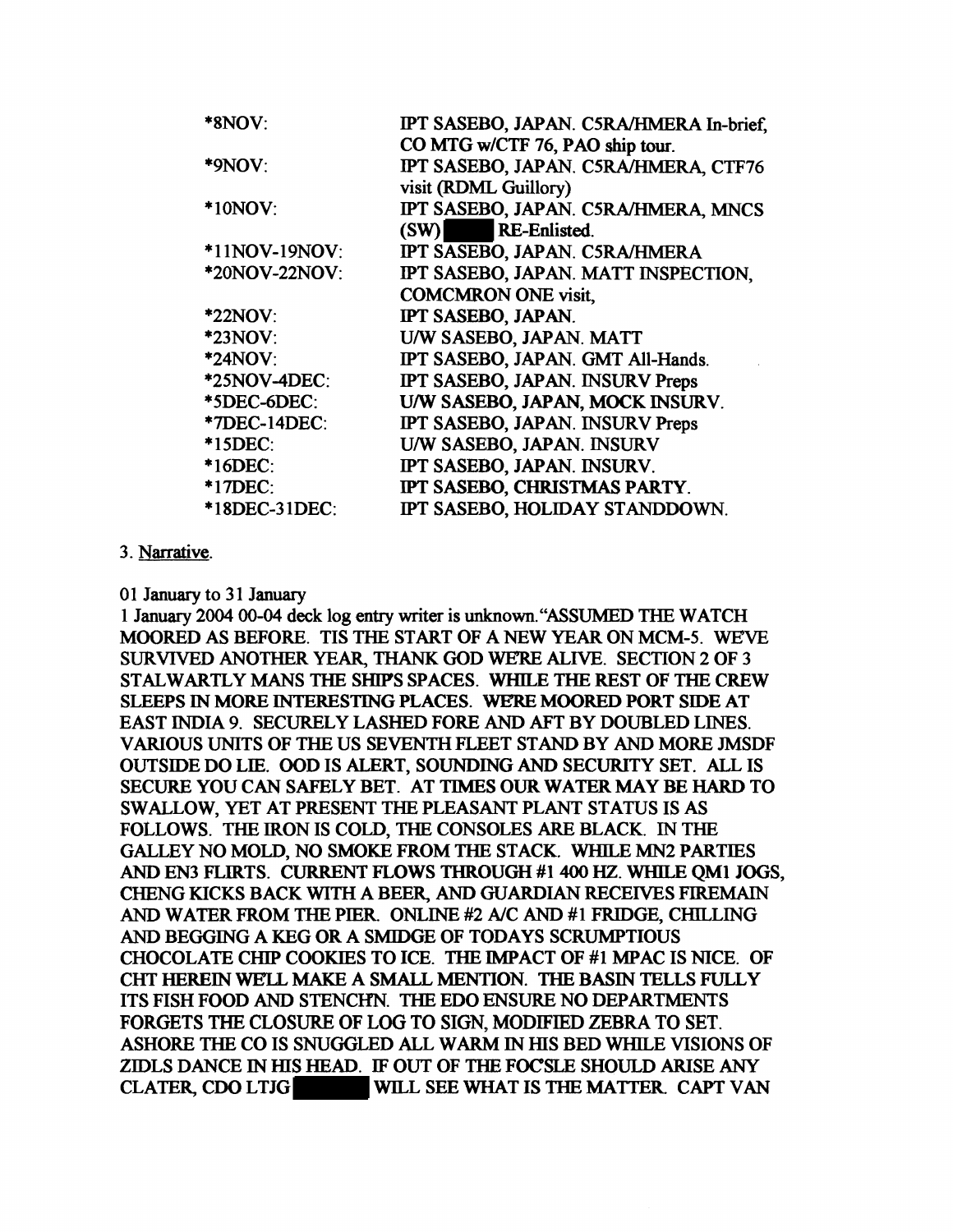| $*8NOV:$      | IPT SASEBO, JAPAN. C5RA/HMERA In-brief. |
|---------------|-----------------------------------------|
|               | CO MTG w/CTF 76, PAO ship tour.         |
| $*9NOV:$      | IPT SASEBO, JAPAN. C5RA/HMERA, CTF76    |
|               | visit (RDML Guillory)                   |
| $*10NOV$ :    | IPT SASEBO, JAPAN. C5RA/HMERA, MNCS     |
|               | <b>RE-Enlisted.</b><br>(SW)             |
| *11NOV-19NOV: | IPT SASEBO, JAPAN. C5RA/HMERA           |
| *20NOV-22NOV: | IPT SASEBO, JAPAN. MATT INSPECTION,     |
|               | <b>COMCMRON ONE visit,</b>              |
| $*22NOV$      | IPT SASEBO, JAPAN.                      |
| *23NOV:       | U/W SASEBO, JAPAN. MATT                 |
| *24NOV:       | IPT SASEBO, JAPAN. GMT All-Hands.       |
| *25NOV-4DEC:  | IPT SASEBO, JAPAN. INSURV Preps         |
| *5DEC-6DEC:   | U/W SASEBO, JAPAN, MOCK INSURV.         |
| *7DEC-14DEC:  | IPT SASEBO, JAPAN. INSURV Preps         |
| *15DEC:       | U/W SASEBO, JAPAN. INSURV               |
| $*16DEC:$     | IPT SASEBO, JAPAN. INSURV.              |
| *17DEC:       | IPT SASEBO, CHRISTMAS PARTY.            |
| *18DEC-31DEC: | IPT SASEBO, HOLIDAY STANDDOWN.          |
|               |                                         |

#### 3. Narrative.

01 January to 31 January

1 January 2004 00-04 deck log entry writer is unknown. "ASSUMED THE WATCH MOORED AS BEFORE. TIS THE START OF A NEW YEAR ON MCM-5. WEVE SURVIVED ANOTHER YEAR, THANK GOD WE'RE ALIVE. SECTION 2 OF 3 STALWARTLY MANS THE SHIPS SPACES. WHILE THE REST OF THE CREW SLEEPS IN MORE INTERESTING PLACES. WE'RE MOORED PORT SIDE AT EAST INDIA 9. SECURELY LASHED FORE AND AFT BY DOUBLED LINES. VARIOUS UNITS OF THE US SEVENTH FLEET STAND BY AND MORE JMSDF OUTSIDE DO LIE. OOD IS ALERT, SOUNDING AND SECURITY SET. ALL IS SECURE YOU CAN SAFELY BET. AT TIMES OUR WATER MAY BE HARD TO SW ALLOW, YET AT PRESENT THE PLEASANT PLANT STATUS IS AS FOLLOWS. THE IRON IS COLD, THE CONSOLES ARE BLACK. IN THE GALLEY NO MOLD. NO SMOKE FROM THE STACK. WHILE MN2 PARTIES AND EN3 FLIRTS. CURRENT FLOWS THROUGH #1 400 HZ. WHILE QMI JOGS, CHENG KICKS BACK WITH A BEER, AND GUARDIAN RECEIVES FIREMAIN AND WATER FROM THE PIER. ONLINE #2 A/C AND #1 FRIDGE, CHILLING AND BEGGING A KEG OR A SMIDGE OF TODAYS SCRUMPTIOUS CHOCOLATE CHIP COOKIES TO ICE. THE IMPACT OF #1 MPAC IS NICE. OF CHT HEREIN WEIL MAKE A SMALL MEN110N. THE BASIN TELLS FULLY ITS FISH FOOD AND STENCHN. THE EDO ENSURE NO DEPARTMENTS FORGETS THE CLOSURE OF LOG TO SIGN, MODIFIED ZEBRA TO SET. ASHORE THE co IS SNUGGLED ALL w ARM IN ms BED WHILE VISIONS OF ZIDLS DANCE IN HIS HEAD. IF OUT OF THE FOCSLE SHOULD ARISE ANY CLATER, CDO LTJG WILL SEE WHAT IS THE MATTER. CAPT VAN WILL SEE WHAT IS THE MATTER. CAPT VAN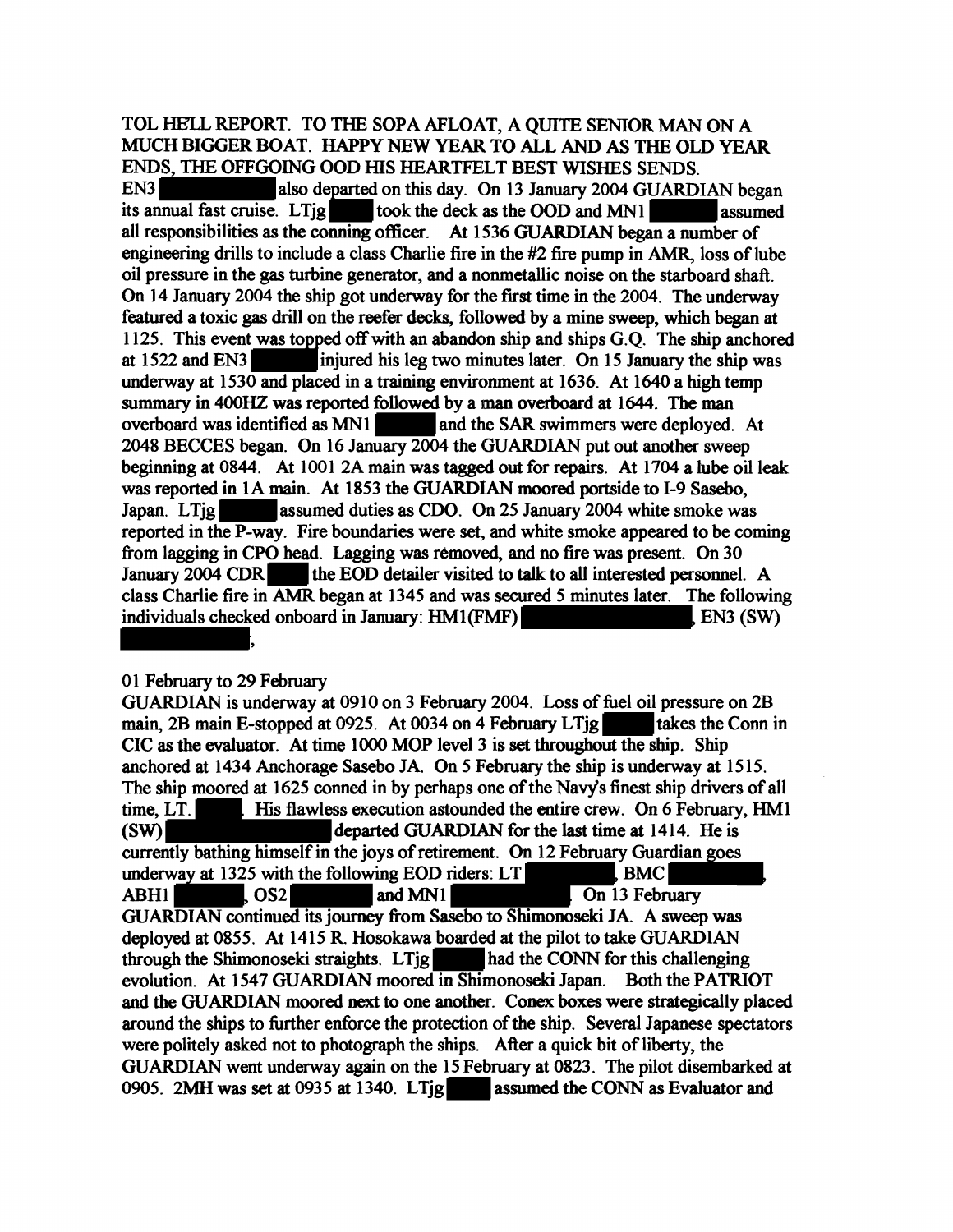## TOL HELL REPORT. TO THE SOPA AFLOAT, A QUITE SENIOR MAN ON A MUCH BIGGER BOAT. HAPPY NEW YEAR TO ALL AND AS THE OLD YEAR ENDS, THE OFFGOING OOD HIS HEARTFELT BEST WISHES SENDS.<br>EN3

also departed on this day. On 13 January 2004 GUARDIAN began its annual fast cruise. LTig $\qquad$  took the deck as the OOD and MNI  $\qquad$  assumed all responsibilities as the conning officer. At 1536 GUARDIAN began a number of engineering drills to include a class Charlie fire in the #2 fire pump in AMR, loss of lube oil pressure in the gas turbine generator, and a nonmetallic noise on the starboard shaft. On 14 January 2004 the ship got underway for the first time in the 2004. The underway featured a toxic gas drill on the reefer decks, followed by a mine sweep, which began at 1125. This event was topped off with an abandon ship and ships  $G.O.$  The ship anchored at 1522 and EN3<sup>-</sup>injured his leg two minutes later. On 15 January the ship was underway at 1530 and placed in a training environment at 1636. At 1640 a high temp summary in 400HZ was reported followed by a man overboard at 1644. The man overboard was identified as MN1 and the SAR swimmers were deployed. At 2048 BECCES began. On 16 January 2004 the GUARDIAN put out another sweep beginning at 0844. At 1001 2A main was tagged out for repairs. At 1704 a lube oil leak was reported in IA main. At 1853 the GUARDJAN moored portside to I-9 Sasebo, Japan. LTig assumed duties as CDO. On 25 January 2004 white smoke was reported in the P-way. Fire boundaries were set, and white smoke appeared to be coming from lagging in CPO head. Lagging was removed, and no fire was present. On 30 January 2004 CDR the EOD detailer visited to talk to all interested personnel. A class Charlie fire in AMR began at 1345 and was secured *5* minutes later. The following individuals checked onboard in January:  $HM1(FMF)$  EN3 (SW)

#### 01 February to 29 February

GUARDIAN is underway at 0910 on 3 February 2004. Loss of fuel oil pressure on 2B main, 2B main E-stopped at 0925. At 0034 on 4 February LTjg  $\Box$  takes the Conn in CIC as the evaluator. At time 1000 MOP level 3 is set throughout the ship. Ship anchored at 1434 Anchorage Sasebo JA. On *5* February the ship is underway at 1515. The ship moored at 1625 conned in by perhaps one of the Navy's finest ship drivers of all time, LT. His flawless execution astounded the entire crew. On 6 February, HM1 (SW) departed GUARDIAN forthe last time at 1414. He is currently bathing himself in the joys of retirement. On 12 February Guardian goes<br>underway at 1325 with the following EOD riders: LT<br>ADI11 underway at 1325 with the following EOD riders: LT<br>ABH1 COS2 and MN1 On 13 February GUARDIAN continued its journey from Sasebo to Shimonoseki IA A sweep was deployed at 0855. At 1415 R. Hosokawa boarded at the pilot to take GUARDIAN through the Shimonoseki straights. LTjg had the CONN for this challenging evolution. At 1547 GUARDIAN moored in Shimonoseki Japan. Both the PATRIOT and the GUARDIAN moored next to one another. Conex boxes were strategically placed around the ships to further enforce the protection of the ship. Several Japanese spectators were politely asked not to photograph the ships. After a quick bit of liberty, the GUARDIAN went underway again on the 15 February at 0823. The pilot disembarked at 0905. 2MH was set at 0935 at 1340. LTig assumed the CONN as Evaluator and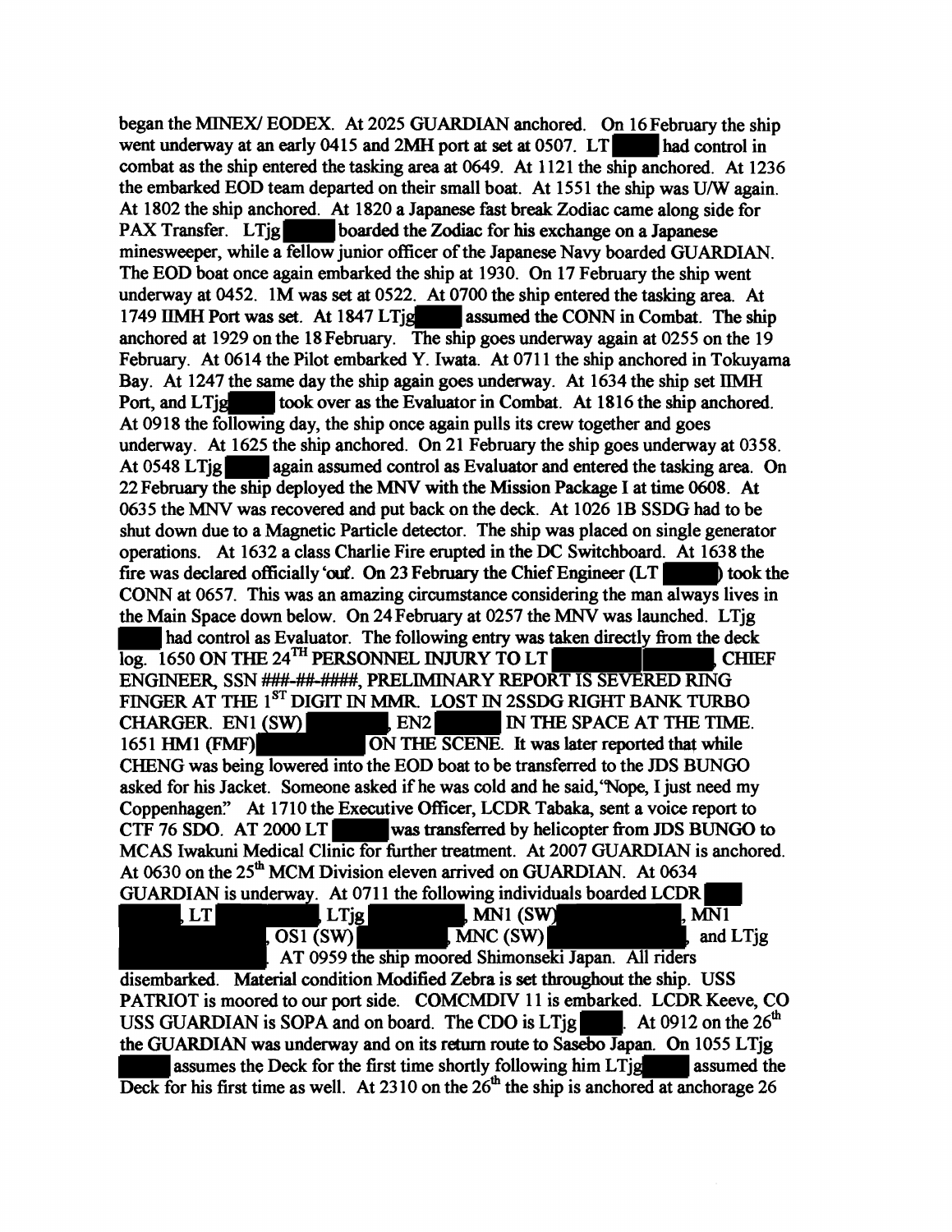began the MINEX/ EODEX. At 2025 GUARDIAN anchored. On I6February the ship went underway at an early 0415 and 2MH port at set at 0507. LT had control in combat as the ship entered the tasking area at 0649. At 1121 the ship anchored. At 1236 the embarked EOD team departed on their small boat. At ISSI the ship was U/W again. At 1802 the ship anchored. At 1820 a Japanese fast break Zodiac came along side for PAX Transfer. LTig boarded the Zodiac for his exchange on a Japanese boarded the Zodiac for his exchange on a Japanese minesweeper, while a **fellow** junior officer of the Japanese Navy boarded GUARDIAN. The EOD boat once again embarked the ship at 1930. On 17 February the ship went underway at 0452. IM was set at 0522. At 0700 the ship entered the tasking area. At 1749 IIMH Port was set. At 1847 LTjg assumed the CONN in Combat. The ship anchored at I929 on the 18February. The ship goes underway again at 0255 on the I9 February. At 0614 the Pilot embarked Y. Iwata. At 0711 the ship anchored in Tokuyama Bay. At 1247 the same day the ship again goes underway. At 1634 the ship set IIMH Port, and LTjglesson took over as the Evaluator in Combat. At 1816 the ship anchored. At 09I8 the following day, the ship once again pulls its crew together and goes underway. At I625 the ship anchored. On 2I February the ship goes underway at 0358. At 0548 LTjg **mi** again assumed control as Evaluator and entered the tasking area. On 22 February the ship deployed the MNV with the Mission Package I at time 0608. At 0635 the MNV was recovered and put back on the deck. At I026 IB SSDG had to be shut down due to a Magnetic Particle detector. The ship was placed on single generator operations. At I632 a class Charlie Fire erupted in the DC Switchboard. At I638 the fire was declared officially 'out. On 23 February the Chief Engineer  $(LT)$  took the CONN at 0657. This was an amazing circumstance considering the man always lives in the Main Space down below. On 24 February at 0257 the MNV was launched. LTjg had control as Evaluator. The following entry was taken directly from the deck CONN at 0657. This was an amazing circumstance considering the man always lives in<br>the Main Space down below. On 24 February at 0257 the MNV was launched. LTjg<br>had control as Evaluator. The following entry was taken direc ENGINEER, SSN ###-##-####, PRELIMINARY REPORT IS SEVERED RING FINGER AT THE  $1^{ST}$  DIGIT IN MMR. LOST IN 2SSDG RIGHT BANK TURBO<br>CHARGER. EN1 (SW) CHARGER CHARGER EN2 CHARGER. EN1 (SW) CHARGER. EN2<br>1651 HM1 (FMF) ON THE SCENE. It was later reported that while ON THE SCENE. It was later reported that while CHENG was being lowered into the EOD boat to be transferred to the JDS BUNGO asked for his Jacket. Someone asked if he was cold and he said, "Nope, I just need my Coppenhagen." At 1710 the Executive Officer, LCDR Tabaka, sent a voice report to CTF 76 SDO. AT 2000 LT was transferred by helicopter from JDS BUNGO was transferred by helicopter from JDS BUNGO to MCAS Iwakuni Medical Clinic for further treatment. At 2007 GUARDIAN is anchored. At 0630 on the  $25<sup>th</sup> MCM$  Division eleven arrived on GUARDIAN. At 0634 GUARDIAN is underway. At 0711 the following individuals boarded LCDR<br>LT LT LT LT LT LT LT MN1 (SW)  $LMN1$  (SW)  $\overline{S}$  (SW)  $\overline{M}$  MNC (SW) and LTjg AT 0959 the ship moored Shimonseki Japan. All riders

disembarked. Material condition Modified Zebra is set throughout the ship. USS PATRIOT is moored to our port side. COMCMDIV 11 is embarked. LCDR Keeve, CO disembarked. Material condition Modified Zebra is set throughout the ship. USS<br>PATRIOT is moored to our port side. COMCMDIV 11 is embarked. LCDR Keeve, CC<br>USS GUARDIAN is SOPA and on board. The CDO is LTjg **•. At 0912 on t** the GUARDIAN was underway and on its return route to Sasebo Japan. On I055 LTjg assumes the Deck for the first time shortly following him LTjgless assumed the Deck for his first time as well. At 2310 on the  $26<sup>th</sup>$  the ship is anchored at anchorage 26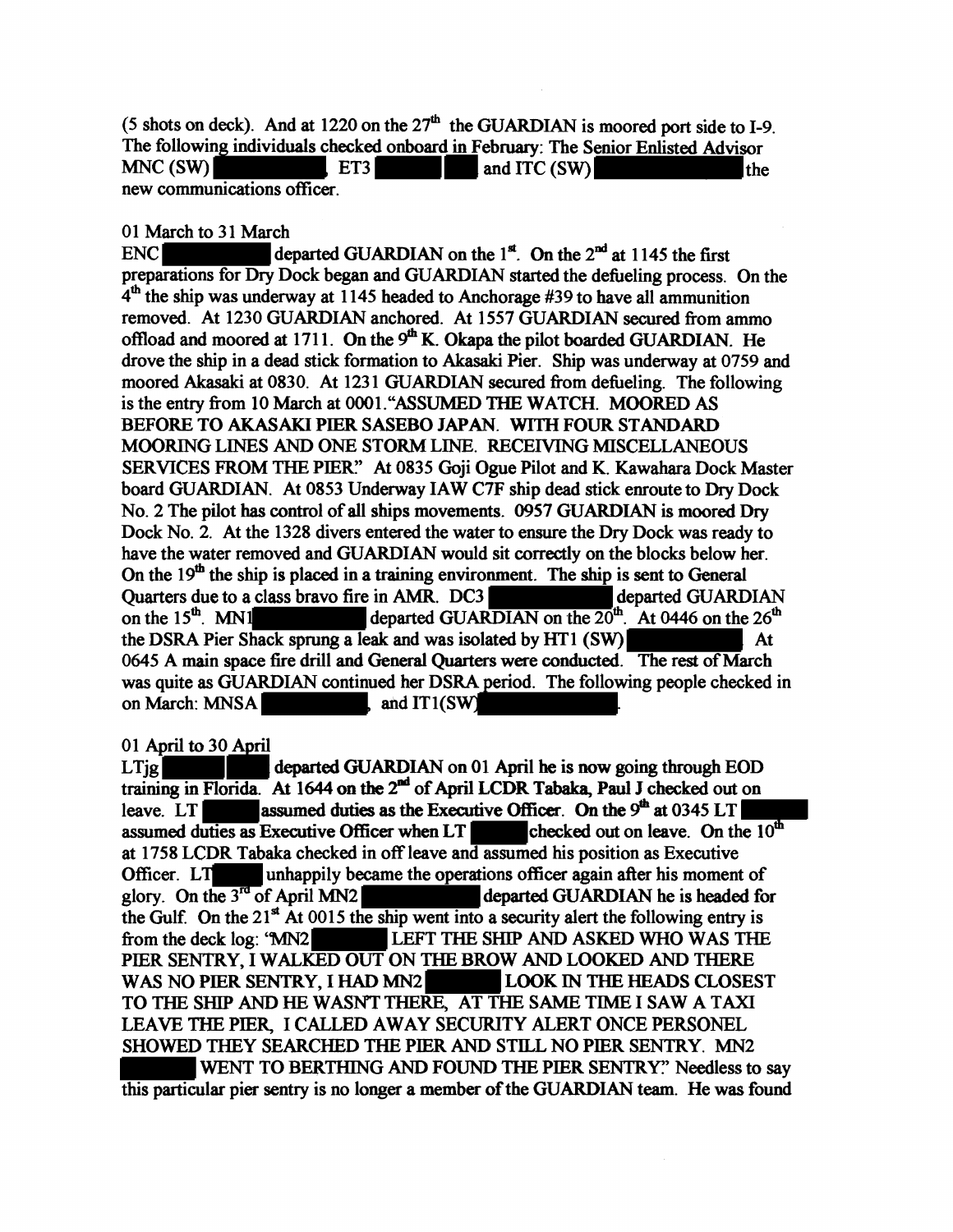(5 shots on deck). And at 1220 on the  $27<sup>th</sup>$  the GUARDIAN is moored port side to I-9 The following individuals checked onboard in February: The Senior Enlisted Advisor MNC (SW)  $ET3$ and ITC (SW) the new communications officer.

#### 01 March to 31 March

ENC departed GUARDIAN on the  $1^{st}$ . On the  $2^{nd}$  at 1145 the first preparations for Dry Dock began and GUARDIAN started the defueling process. On the  $4<sup>th</sup>$  the ship was underway at 1145 headed to Anchorage #39 to have all ammunition removed. At 1230 GUARDIAN anchored. At 1557 GUARDIAN secured from ammo offload and moored at  $1711$ . On the  $9<sup>th</sup>$  K. Okapa the pilot boarded GUARDIAN. He drove the ship in a dead stick formation to Akasaki Pier. Ship was underway at 0759 and moored Akasaki at 0830. At 1231 GUARDIAN secured from defueling. The following is the entry from 10 March at 0001. "ASSUMED THE WATCH. MOORED AS BEFORE TO AKASAKI PIER SASEBO JAPAN. WITH FOUR STANDARD MOORING LINES AND ONE STORM LINE. RECEIVING MISCELLANEOUS SERVICES FROM THE PIER." At 0835 Goji Ogue Pilot and K. Kawahara Dock Master board GUARDIAN. At 0853 Underway IAW C7F ship dead stick enroute to Dry Dock No. 2 The pilot has control of all ships movements. *0951* GUARDIAN is moored Dry Dock No. 2. At the 1328 divers entered the water to ensure the Dry Dock was ready to have the water removed and GUARDIAN would sit correctly on the blocks below her. On the  $19<sup>th</sup>$  the ship is placed in a training environment. The ship is sent to General Quarters due to a class bravo fire in AMR. DC3 departed GUARDIAN on the  $15^{th}$ . At 0446 on the  $26^{th}$ departed GUARDIAN on the  $20^{th}$ . At 0446 on the  $26^{th}$ the DSRA Pier Shack sprung a leak and was isolated by HT1 (SW) At 0645 A main space fire drill and General Quarters were conducted. The rest of March was quite as GUARDIAN continued her DSRA period. The following people checked in on March: MNSA  $\blacksquare$ , and IT1(SW)

#### 01 April to 30 April

 $LT$ ig departed GUARDIAN on 01 April he is now going through EOD training in Florida. At 1644 on the  $2<sup>nd</sup>$  of April LCDR Tabaka, Paul J checked out on leave. LT **assumed duties as the Executive Officer.** On the  $9<sup>th</sup>$  at 0345 LT assumed duties as Executive Officer when LT **and the checked** out on leave. On the  $10<sup>th</sup>$ assumed duties as Executive Officer when LT at 1758 LCDR Tabaka checked in off leave and assumed his position as Executive Officer. LT unhappily became the operations officer again after his moment of glory. On the  $3^{rd}$  of April MN2 departed GUARDIAN he is headed for the Gulf. On the 21<sup>st</sup> At 0015 the ship went into a security alert the following entry is<br>from the deck log: 'MN2<br>LEFT THE SHIP AND ASKED WHO WAS THE PIER SENTRY, I WALKED OUT ON THE BROW AND LOOKED AND THERE WAS NO PIER SENTRY, I HAD MN2 LOOK IN THE HEADS CLOSEST TO THE SHIP AND HE WASN'T THERE, AT THE SAME TIME I SAW A TAXI LEA VE THE PIER, I CALLED AWAY SECURITY ALERT ONCE PERSONEL SHOWED THEY SEARCHED THE PIER AND STILL NO PIER SENTRY. MN2 WENT TO BERTHING AND FOUND THE PIER SENTRY?' Needless to say this particular pier sentry is no longer a member of the GUARDIAN team. He was found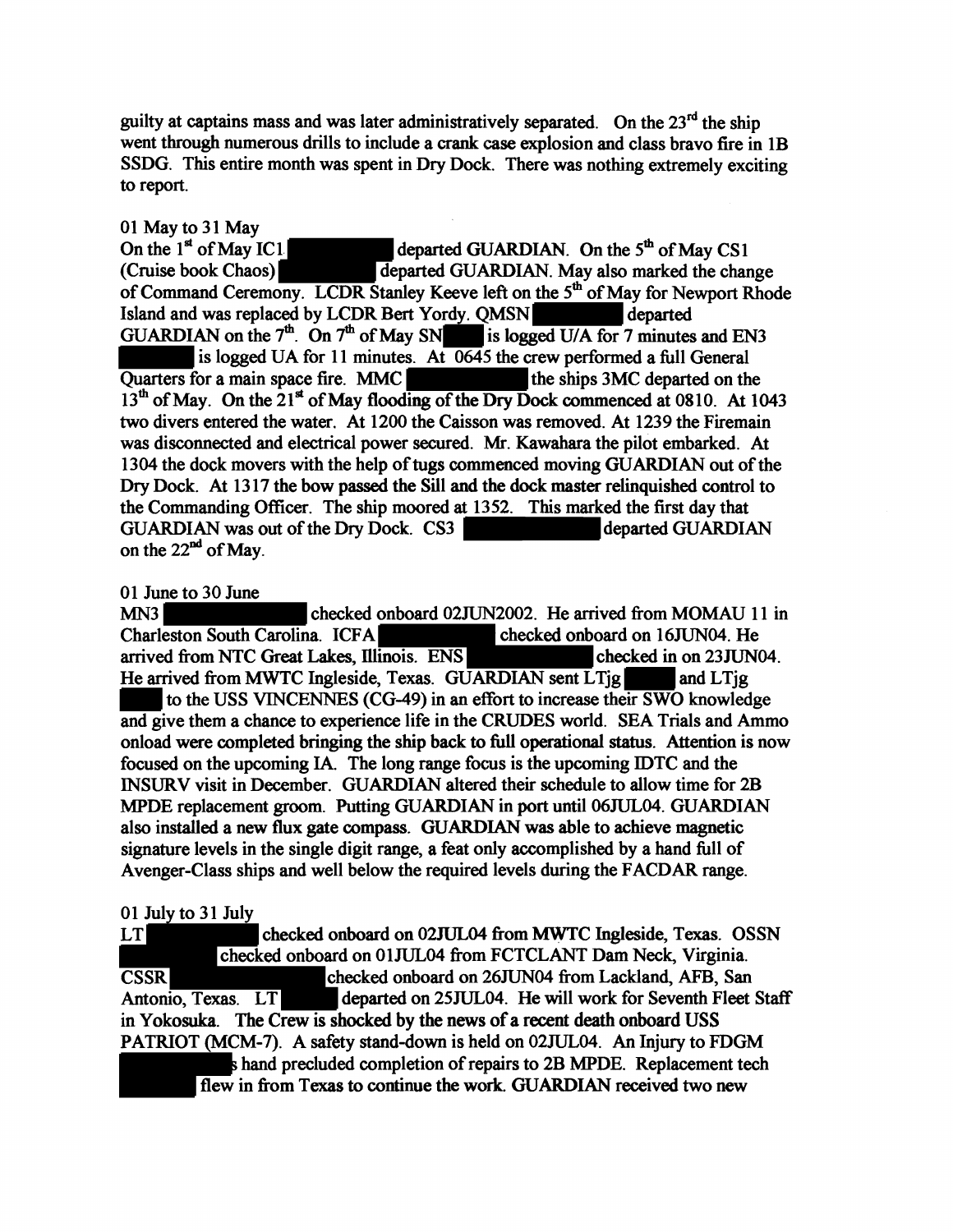guilty at captains mass and was later administratively separated. On the  $23<sup>rd</sup>$  the ship went through numerous drills to include a crank case explosion and class bravo fire in 1B SSDG. This entire month was spent in Dry Dock. There was nothing extremely exciting to report.

01 May to 31 May On the  $1^{st}$  of May IC1 departed GUARDIAN. On the  $5^{th}$  of May CS1 (Cruise book Chaos) departed GUARDIAN. May also marked the chan departed GUARDIAN. May also marked the change of Command Ceremony. LCDR Stanley Keeve left on the 5<sup>th</sup> of May for Newport Rhode Island and was replaced by LCDR Bert Yordy. QMSN-departed GUARDIAN on the  $7<sup>th</sup>$ . On  $7<sup>th</sup>$  of May SN is logged U/A for 7 minutes and EN3 is logged UA for 11 minutes. At 0645 the crew performed a full General Quarters for a main space fire. MMC the ships 3MC departed on the  $13<sup>th</sup>$  of May. On the  $21<sup>st</sup>$  of May flooding of the Dry Dock commenced at 0810. At 1043 two divers entered the water. At 1200 the Caisson was removed. At 1239 the Firemain was disconnected and electrical power secured. Mr. Kawahara the pilot embarked. At 1304 the dock movers with the help of tugs commenced moving GUARDIAN out of the Dry Dock. At 1317 the bow passed the Sill and the dock master relinquished control to the Commanding Officer. The ship moored at 1352. This marked the first day that GUARDIAN was out of the Dry Dock. CS3 departed GUARDIAN on the  $22<sup>nd</sup>$  of May.

#### 01 June to 30 June

MN3 checked onboard 02JUN2002. He arrived from MOMAU 11 in Charleston South Carolina. ICFA checked onboard on 16JUN04. He arrived from NTC Great Lakes, Illinois. ENS checked in on 23JUN04. He arrived from MWTC Ingleside, Texas. GUARDIAN sent LTjg and LTjg to the USS VINCENNES (CG-49) in an effort to increase their SWO knowledge and give them a chance to experience life in the CRUDES world. SEA Trials and Ammo onload were completed bringing the ship back to full operational status. Attention is now focused on the upcoming IA. The long range focus is the upcoming IDTC and the INSURV visit in December. GUARDIAN altered their schedule to allow time for 2B MPDE replacement groom. Putting GUARDIAN in port until 06JUL04. GUARDIAN also installed a new flux gate compass. GUARDIAN was able to achieve magnetic signature levels in the single digit range, a feat only accomplished by a hand full of Avenger-Class ships and well below the required levels during the F ACDAR range.

#### 01 July to 31 July

 $LT$ checked onboard on 02JUL04 from MWTC Ingleside, Texas. OSSN checked onboard on 01JUL04 from FCTCLANT Dam Neck, Virginia. **CSSR** checked onboard on 26JUN04 from Lackland, AFB, San Antonio, Texas. LT departed on 25JUL04. He will work for Seventh Fleet Staff in Yokosuka. The Crew is shocked by the news of a recent death onboard USS PATRIOT (MCM-7). A safety stand-down is held on 02JUL04. An Injury to FDGM hand precluded completion of repairs to 2B MPDE. Replacement tech flew in from Texas to continue the work. GUARDIAN received two new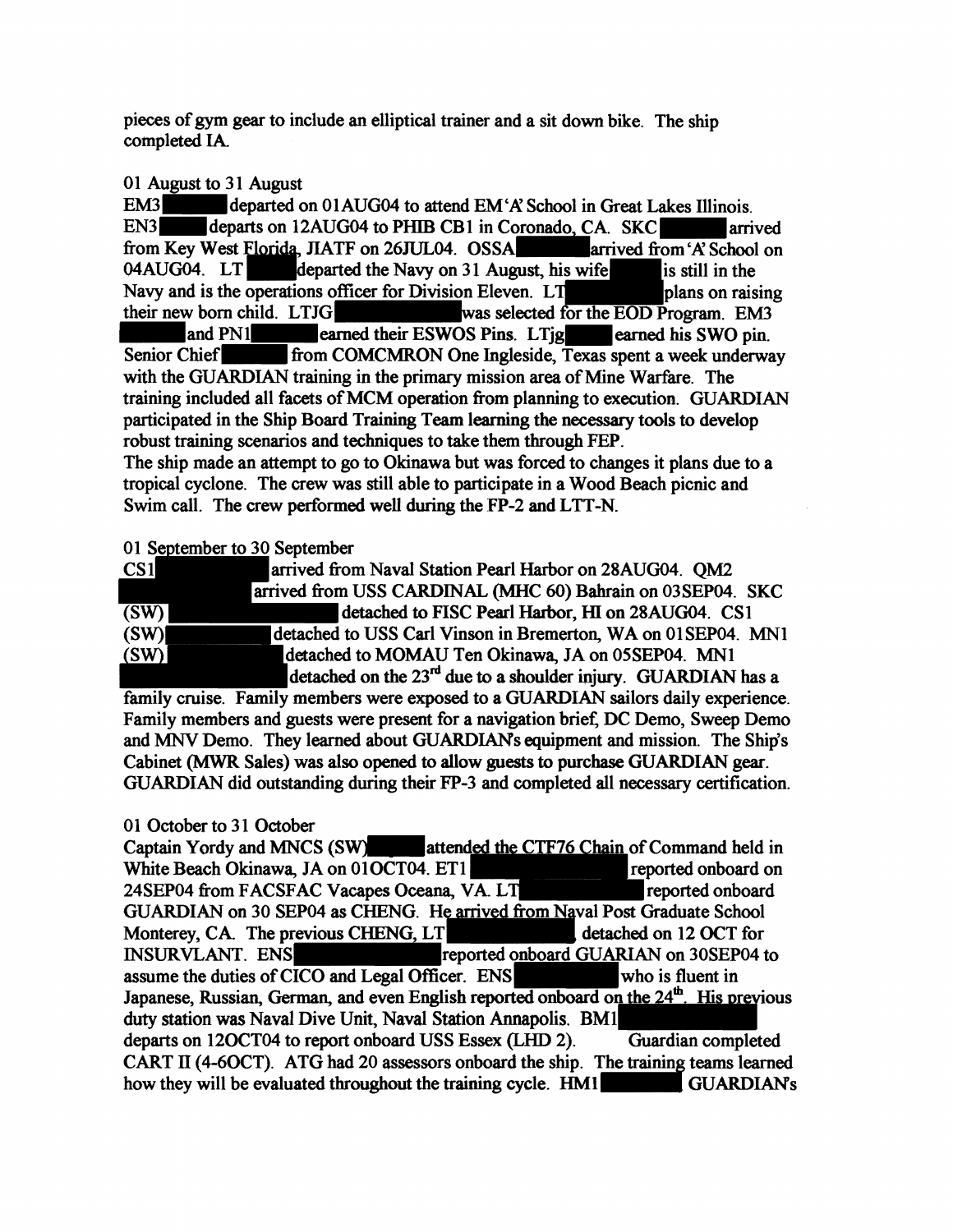pieces of gym gear to include an elliptical trainer and a sit down bike. The ship completed IA

# 01 August to 31 August<br>EM3<sup>1</sup> departed o

EM3<br>departed on 01AUG04 to attend EM'A' School in Great Lakes Illinois.<br>EN3<br>arrival departs on 12AUG04 to PHIB CB1 in Coronado CA SKC departs on 12AUG04 to PHIB CB1 in Coronado, CA. SKC<br>Vest Florida, JIATF on 26JUL04. OSSA<br>arrived from 'A' School on from Key West Florida, JIATF on 26JUL04. OSSA<br>04AUG04. LT departed the Navy on 31 August, his wife is still in the 04AUG04. LT departed the Navy on 31 August, his wife Navy and is the operations officer for Division Eleven.  $LT$  plans on raising their new born child. LTJG was selected for the EOD Program. EM3 and PN1 earned their ESWOS Pins. LTjg earned his SWO pin. and PN1 earned their ESWOS Pins. LTjg earned his SWO pin.<br>Senior Chief-from COMCMRON One Ingleside, Texas spent a week underway with the GUARDIAN training in the primary mission area of Mine Warfare. The training included all facets of MCM operation from planning to execution. GUARDIAN participated in the Ship Board Training Team learning the necessary tools to develop robust training scenarios and techniques to take them through FEP. The ship made an attempt to go to Okinawa but was forced to changes it plans due to a tropical cyclone. The crew was still able to participate in a Wood Beach picnic and Swim call. The crew performed well during the FP-2 and LTT-N.

### 01 September to 30 September

| CS <sub>1</sub> | arrived from Naval Station Pearl Harbor on 28AUG04. OM2                   |  |
|-----------------|---------------------------------------------------------------------------|--|
|                 | arrived from USS CARDINAL (MHC 60) Bahrain on 03SEP04. SKC                |  |
| (SW)            | detached to FISC Pearl Harbor, HI on 28AUG04. CS1                         |  |
| (SW)            | detached to USS Carl Vinson in Bremerton, WA on 01SEP04. MN1              |  |
| (SW)            | detached to MOMAU Ten Okinawa, JA on 05SEP04. MN1                         |  |
|                 | detached on the 23 <sup>rd</sup> due to a shoulder injury. GUARDIAN has a |  |

family cruise. Family members were exposed to a GUARDIAN sailors daily experience. Family members and guests were present for a navigation brief: DC Demo, Sweep Demo and MNV Demo. They learned about GUARDIANs equipment and mission. The Ship's Cabinet (MWR Sales) was also opened to allow guests to purchase GUARDIAN gear. GUARDIAN did outstanding during their FP-3 and completed all necessary certification.

### 01 October to 31 October

| Captain Yordy and MNCS (SW) attended the CTF76 Chain of Command held in                             |                                   |
|-----------------------------------------------------------------------------------------------------|-----------------------------------|
| White Beach Okinawa, JA on 01OCT04. ET1                                                             | reported onboard on               |
| 24SEP04 from FACSFAC Vacapes Oceana, VA. LT                                                         | <b>Example 2</b> reported onboard |
| GUARDIAN on 30 SEP04 as CHENG. He arrived from Naval Post Graduate School                           |                                   |
| Monterey, CA. The previous CHENG, LT                                                                | detached on 12 OCT for            |
| INSURVLANT. ENS<br>reported onboard GUARIAN on 30SEP04 to                                           |                                   |
| assume the duties of CICO and Legal Officer. ENS who is fluent in                                   |                                   |
| Japanese, Russian, German, and even English reported onboard on the 24 <sup>th</sup> . His previous |                                   |
| duty station was Naval Dive Unit, Naval Station Annapolis, BM1                                      |                                   |
| departs on 12OCT04 to report onboard USS Essex (LHD 2). Guardian completed                          |                                   |
| CART II (4-6OCT). ATG had 20 assessors onboard the ship. The training teams learned                 |                                   |
| how they will be evaluated throughout the training cycle. HM1 GUARDIAN's                            |                                   |
|                                                                                                     |                                   |